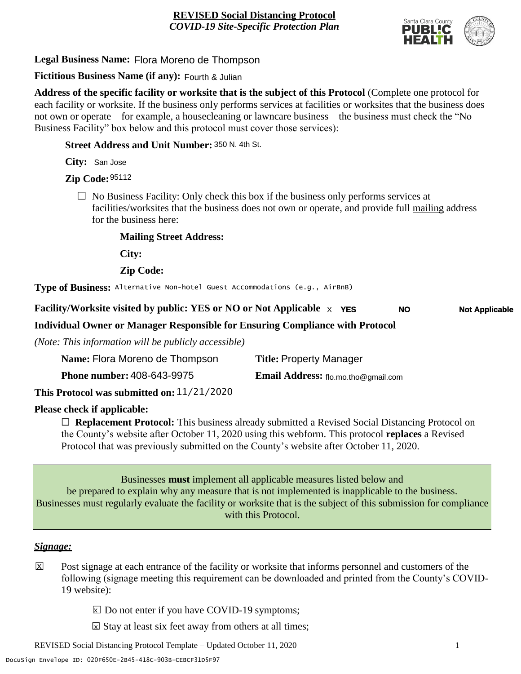

**Legal Business Name:** Flora Moreno de Thompson

# **Fictitious Business Name (if any):** Fourth & Julian

**Address of the specific facility or worksite that is the subject of this Protocol** (Complete one protocol for each facility or worksite. If the business only performs services at facilities or worksites that the business does not own or operate—for example, a housecleaning or lawncare business—the business must check the "No Business Facility" box below and this protocol must cover those services):

**Street Address and Unit Number:** 350 N. 4th St.

**City:** San Jose

**Zip Code:** 95112

 $\Box$  No Business Facility: Only check this box if the business only performs services at facilities/worksites that the business does not own or operate, and provide full mailing address for the business here:

**Mailing Street Address:**

**City:**

**Zip Code:**

**Type of Business:** Alternative Non-hotel Guest Accommodations (e.g., AirBnB)

**Facility/Worksite visited by public: YES or NO or Not Applicable** X **YES Not Applicable NO**

### **Individual Owner or Manager Responsible for Ensuring Compliance with Protocol**

*(Note: This information will be publicly accessible)*

| Name: Flora Moreno de Thompson    | <b>Title: Property Manager</b>             |
|-----------------------------------|--------------------------------------------|
| <b>Phone number: 408-643-9975</b> | <b>Email Address:</b> flo.mo.tho@gmail.com |
|                                   |                                            |

**This Protocol was submitted on:** 11/21/2020

### **Please check if applicable:**

☐ **Replacement Protocol:** This business already submitted a Revised Social Distancing Protocol on the County's website after October 11, 2020 using this webform. This protocol **replaces** a Revised Protocol that was previously submitted on the County's website after October 11, 2020.

Businesses **must** implement all applicable measures listed below and be prepared to explain why any measure that is not implemented is inapplicable to the business. Businesses must regularly evaluate the facility or worksite that is the subject of this submission for compliance with this Protocol.

#### *Signage:*

- Post signage at each entrance of the facility or worksite that informs personnel and customers of the following (signage meeting this requirement can be downloaded and printed from the County's COVID-19 website):  $|\overline{x}|$ 
	- $\boxed{\times}$  Do not enter if you have COVID-19 symptoms;
	- $\boxtimes$  Stay at least six feet away from others at all times;

REVISED Social Distancing Protocol Template – Updated October 11, 2020 1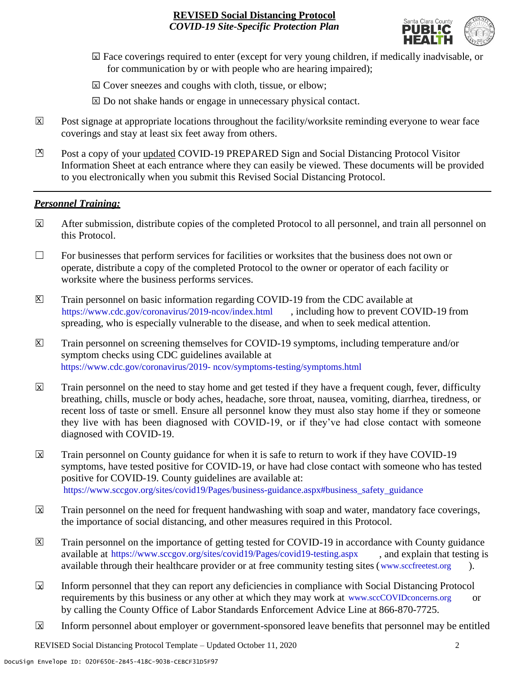

- ☐ Face coverings required to enter (except for very young children, if medically inadvisable, or X for communication by or with people who are hearing impaired);
- ⊠ Cover sneezes and coughs with cloth, tissue, or elbow;
- ⊠ Do not shake hands or engage in unnecessary physical contact.
- Post signage at appropriate locations throughout the facility/worksite reminding everyone to wear face coverings and stay at least six feet away from others. X
- Post a copy of your updated COVID-19 PREPARED Sign and Social Distancing Protocol Visitor Information Sheet at each entrance where they can easily be viewed. These documents will be provided to you electronically when you submit this Revised Social Distancing Protocol.  $\mathbb{Z}$

#### *Personnel Training:*

- After submission, distribute copies of the completed Protocol to all personnel, and train all personnel on this Protocol.  $\mathbf x$
- $\Box$  For businesses that perform services for facilities or worksites that the business does not own or operate, distribute a copy of the completed Protocol to the owner or operator of each facility or worksite where the business performs services.
- Train personnel on basic information regarding COVID-19 from the CDC available at [https://www.cdc.gov/coronavirus/2019-ncov/index.html,](https://www.cdc.gov/coronavirus/2019-ncov/index.html) including how to prevent COVID-19 from spreading, who is especially vulnerable to the disease, and when to seek medical attention.  $\mathsf{X}$
- Train personnel on screening themselves for COVID-19 symptoms, including temperature and/or symptom checks using CDC guidelines available at [https://www.cdc.gov/coronavirus/2019-](https://www.cdc.gov/coronavirus/2019-ncov/symptoms-testing/symptoms.html) [ncov/symptoms-testing/symptoms.html.](https://www.cdc.gov/coronavirus/2019-ncov/symptoms-testing/symptoms.html) https://www.cdc.gov/coronavirus/2019- ncov/symptoms-testing/symptoms.html  $|\mathsf{X}|$
- Train personnel on the need to stay home and get tested if they have a frequent cough, fever, difficulty breathing, chills, muscle or body aches, headache, sore throat, nausea, vomiting, diarrhea, tiredness, or recent loss of taste or smell. Ensure all personnel know they must also stay home if they or someone they live with has been diagnosed with COVID-19, or if they've had close contact with someone diagnosed with COVID-19.  $\overline{\mathsf{x}}$
- Train personnel on County guidance for when it is safe to return to work if they have COVID-19 symptoms, have tested positive for COVID-19, or have had close contact with someone who has tested positive for COVID-19. County guidelines are available at: [https://www.sccgov.org/sites/covid19/Pages/business-guidance.aspx#business\\_safety\\_guidance.](https://www.sccgov.org/sites/covid19/Pages/business-guidance.aspx#business_safety_guidance.) https://www.sccgov.org/sites/covid19/Pages/business-guidance.aspx#business\_safety\_guidance X
- Train personnel on the need for frequent handwashing with soap and water, mandatory face coverings, the importance of social distancing, and other measures required in this Protocol.  $\overline{\mathsf{x}}$
- Train personnel on the importance of getting tested for COVID-19 in accordance with County guidance available at [https://www.sccgov.org/sites/covid19/Pages/covid19-testing.aspx,](https://www.sccgov.org/sites/covid19/Pages/covid19-testing.aspx) and explain that testing is available through their healthcare provider or at free community testing sites [\(www.sccfreetest.org](http://www.sccfreetest.org/) ).  $\vert X \vert$
- Inform personnel that they can report any deficiencies in compliance with Social Distancing Protocol requirements by this business or any other at which they may work at [www.sccCOVIDconcerns.org](http://www.scccovidconcerns.org/) or by calling the County Office of Labor Standards Enforcement Advice Line at 866-870-7725.  $\overline{\mathbf{x}}$
- Inform personnel about employer or government-sponsored leave benefits that personnel may be entitled  $\boxtimes$

REVISED Social Distancing Protocol Template – Updated October 11, 2020 2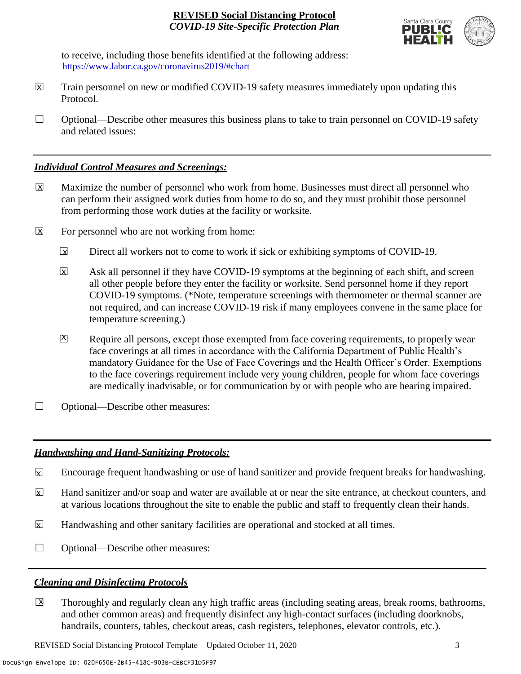

to receive, including those benefits identified at the following address: [https://www.labor.ca.gov/coronavirus2019/#chart.](https://www.labor.ca.gov/coronavirus2019/#chart) https://www.labor.ca.gov/coronavirus2019/#chart

- Train personnel on new or modified COVID-19 safety measures immediately upon updating this Protocol.  $\boxtimes$
- $\Box$  Optional—Describe other measures this business plans to take to train personnel on COVID-19 safety and related issues:

### *Individual Control Measures and Screenings:*

- Maximize the number of personnel who work from home. Businesses must direct all personnel who can perform their assigned work duties from home to do so, and they must prohibit those personnel from performing those work duties at the facility or worksite.  $|\overline{X}|$
- For personnel who are not working from home:  $\boxtimes$ 
	- Direct all workers not to come to work if sick or exhibiting symptoms of COVID-19.  $\overline{\mathbf{x}}$
	- Ask all personnel if they have COVID-19 symptoms at the beginning of each shift, and screen all other people before they enter the facility or worksite. Send personnel home if they report COVID-19 symptoms. (\*Note, temperature screenings with thermometer or thermal scanner are not required, and can increase COVID-19 risk if many employees convene in the same place for temperature screening.) X
	- Require all persons, except those exempted from face covering requirements, to properly wear face coverings at all times in accordance with the California Department of Public Health's mandatory Guidance for the Use of Face Coverings and the Health Officer's Order. Exemptions to the face coverings requirement include very young children, people for whom face coverings are medically inadvisable, or for communication by or with people who are hearing impaired.  $\mathbf{X}$
- ☐ Optional—Describe other measures:

### *Handwashing and Hand-Sanitizing Protocols:*

- Encourage frequent handwashing or use of hand sanitizer and provide frequent breaks for handwashing.  $\mathbf{x}$
- Hand sanitizer and/or soap and water are available at or near the site entrance, at checkout counters, and at various locations throughout the site to enable the public and staff to frequently clean their hands.  $\overline{\mathbf{x}}$
- Handwashing and other sanitary facilities are operational and stocked at all times.  $\mathbf{x}$
- ☐ Optional—Describe other measures:

### *Cleaning and Disinfecting Protocols*

☐ Thoroughly and regularly clean any high traffic areas (including seating areas, break rooms, bathrooms, and other common areas) and frequently disinfect any high-contact surfaces (including doorknobs, handrails, counters, tables, checkout areas, cash registers, telephones, elevator controls, etc.).  $\overline{\mathsf{x}}$ 

REVISED Social Distancing Protocol Template – Updated October 11, 2020 3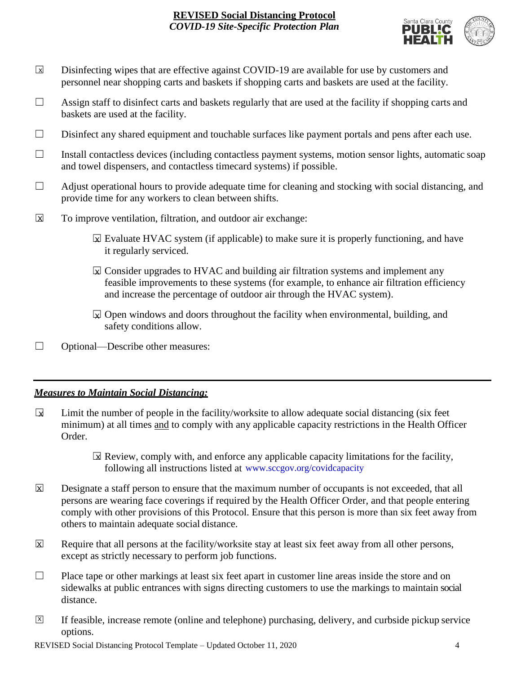

- Disinfecting wipes that are effective against COVID-19 are available for use by customers and personnel near shopping carts and baskets if shopping carts and baskets are used at the facility.  $\boxed{\mathsf{x}}$
- $\Box$  Assign staff to disinfect carts and baskets regularly that are used at the facility if shopping carts and baskets are used at the facility.
- ☐ Disinfect any shared equipment and touchable surfaces like payment portals and pens after each use.
- ☐ Install contactless devices (including contactless payment systems, motion sensor lights, automatic soap and towel dispensers, and contactless timecard systems) if possible.
- $\Box$  Adjust operational hours to provide adequate time for cleaning and stocking with social distancing, and provide time for any workers to clean between shifts.
- To improve ventilation, filtration, and outdoor air exchange:  $\overline{\mathsf{x}}$ 
	- $\boxtimes$  Evaluate HVAC system (if applicable) to make sure it is properly functioning, and have it regularly serviced.
	- $\boxtimes$  Consider upgrades to HVAC and building air filtration systems and implement any feasible improvements to these systems (for example, to enhance air filtration efficiency and increase the percentage of outdoor air through the HVAC system).
	- $\boxdot$  Open windows and doors throughout the facility when environmental, building, and safety conditions allow.
- ☐ Optional—Describe other measures:

### *Measures to Maintain Social Distancing:*

- Limit the number of people in the facility/worksite to allow adequate social distancing (six feet minimum) at all times and to comply with any applicable capacity restrictions in the Health Officer Order.  $\mathbf{r}$ 
	- $\boxtimes$  Review, comply with, and enforce any applicable capacity limitations for the facility, following all instructions listed at www.sccgov.org/covidcapacity
- Designate a staff person to ensure that the maximum number of occupants is not exceeded, that all persons are wearing face coverings if required by the Health Officer Order, and that people entering comply with other provisions of this Protocol. Ensure that this person is more than six feet away from others to maintain adequate social distance.  $\overline{\mathsf{x}}$
- Require that all persons at the facility/worksite stay at least six feet away from all other persons, except as strictly necessary to perform job functions. X
- $\Box$  Place tape or other markings at least six feet apart in customer line areas inside the store and on sidewalks at public entrances with signs directing customers to use the markings to maintain social distance.
- ☐ If feasible, increase remote (online and telephone) purchasing, delivery, and curbside pickup service options.  $\overline{X}$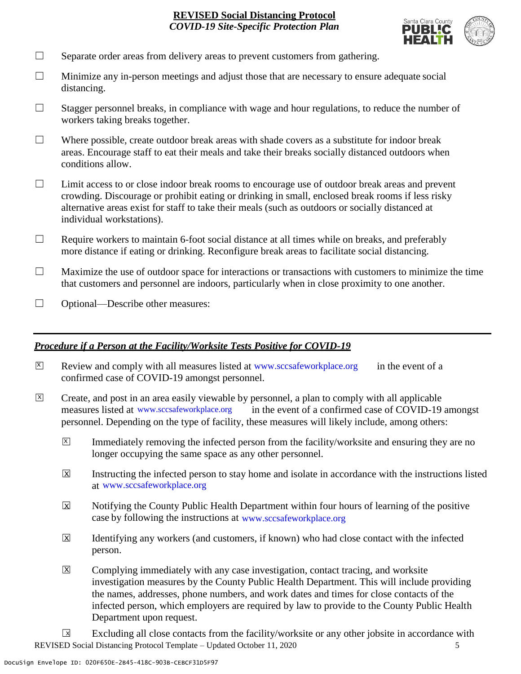

- $\Box$  Separate order areas from delivery areas to prevent customers from gathering.
- $\Box$  Minimize any in-person meetings and adjust those that are necessary to ensure adequate social distancing.
- $\Box$  Stagger personnel breaks, in compliance with wage and hour regulations, to reduce the number of workers taking breaks together.
- $\Box$  Where possible, create outdoor break areas with shade covers as a substitute for indoor break areas. Encourage staff to eat their meals and take their breaks socially distanced outdoors when conditions allow.
- ☐ Limit access to or close indoor break rooms to encourage use of outdoor break areas and prevent crowding. Discourage or prohibit eating or drinking in small, enclosed break rooms if less risky alternative areas exist for staff to take their meals (such as outdoors or socially distanced at individual workstations).
- $\Box$  Require workers to maintain 6-foot social distance at all times while on breaks, and preferably more distance if eating or drinking. Reconfigure break areas to facilitate social distancing.
- $\Box$  Maximize the use of outdoor space for interactions or transactions with customers to minimize the time that customers and personnel are indoors, particularly when in close proximity to one another.
- ☐ Optional—Describe other measures:

#### *Procedure if a Person at the Facility/Worksite Tests Positive for COVID-19*

- $\boxtimes$  Review and comply with all measures listed at [www.sccsafeworkplace.org](http://www.sccsafeworkplace.org/) in the event of a confirmed case of COVID-19 amongst personnel.
- ☐ Create, and post in an area easily viewable by personnel, a plan to comply with all applicable in the event of a confirmed case of COVID-19 amongst personnel. Depending on the type of facility, these measures will likely include, among others: measures listed at www.sccsafeworkplace.org  $\overline{X}$ 
	- Immediately removing the infected person from the facility/worksite and ensuring they are no longer occupying the same space as any other personnel.  $\vert X \vert$
	- Instructing the infected person to stay home and isolate in accordance with the instructions listed at [www.sccsafeworkplace.org.](file:///C:/Users/raphael.rajendra/AppData/Local/Microsoft/Windows/INetCache/Content.Outlook/PTLHNOTE/www.sccsafeworkplace.org) www.sccsafeworkplace.org X
	- Notifying the County Public Health Department within four hours of learning of the positive case by following the instructions at www.sccsafeworkplace.org  $\overline{X}$
	- Identifying any workers (and customers, if known) who had close contact with the infected person.  $\overline{\mathsf{x}}$
	- Complying immediately with any case investigation, contact tracing, and worksite investigation measures by the County Public Health Department. This will include providing the names, addresses, phone numbers, and work dates and times for close contacts of the infected person, which employers are required by law to provide to the County Public Health Department upon request.  $\boxed{\mathsf{X}}$

REVISED Social Distancing Protocol Template – Updated October 11, 2020 5 Excluding all close contacts from the facility/worksite or any other jobsite in accordance with  $\sqrt{X}$